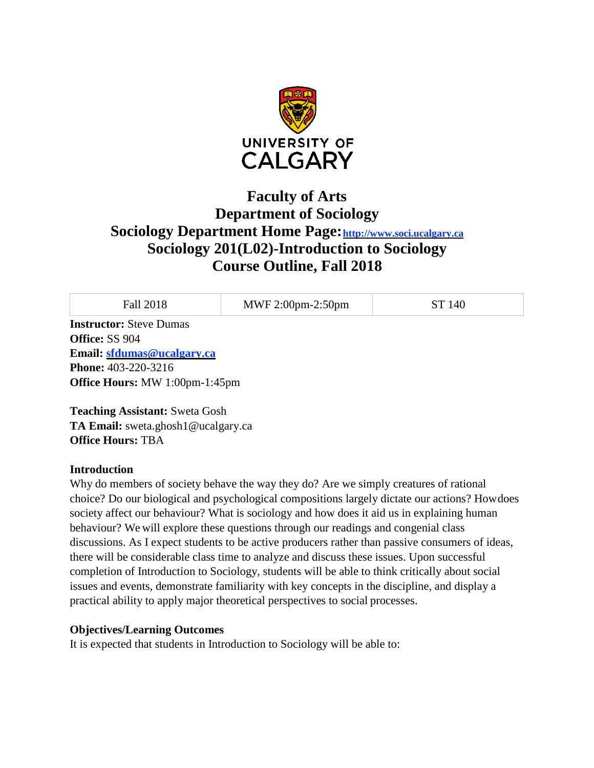

# **Faculty of Arts Department of Sociology Sociology Department Home Page**: http://www.soci.ucalgary.ca **Sociology 201(L02)-Introduction to Sociology Course Outline, Fall 2018**

Fall 2018 MWF 2:00pm-2:50pm ST 140

**Instructor:** Steve Dumas **Office:** SS 904 **Email: [sfdumas@ucalgary.ca](mailto:sfdumas@ucalgary.ca) Phone:** 403-220-3216 **Office Hours:** MW 1:00pm-1:45pm

**Teaching Assistant:** Sweta Gosh **TA Email:** [sweta.ghosh1@ucalgary.ca](mailto:sweta.ghosh1@ucalgary.ca) **Office Hours:** TBA

# **Introduction**

Why do members of society behave the way they do? Are we simply creatures of rational choice? Do our biological and psychological compositions largely dictate our actions? Howdoes society affect our behaviour? What is sociology and how does it aid us in explaining human behaviour? We will explore these questions through our readings and congenial class discussions. As I expect students to be active producers rather than passive consumers of ideas, there will be considerable class time to analyze and discuss these issues. Upon successful completion of Introduction to Sociology, students will be able to think critically about social issues and events, demonstrate familiarity with key concepts in the discipline, and display a practical ability to apply major theoretical perspectives to social processes.

# **Objectives/Learning Outcomes**

It is expected that students in Introduction to Sociology will be able to: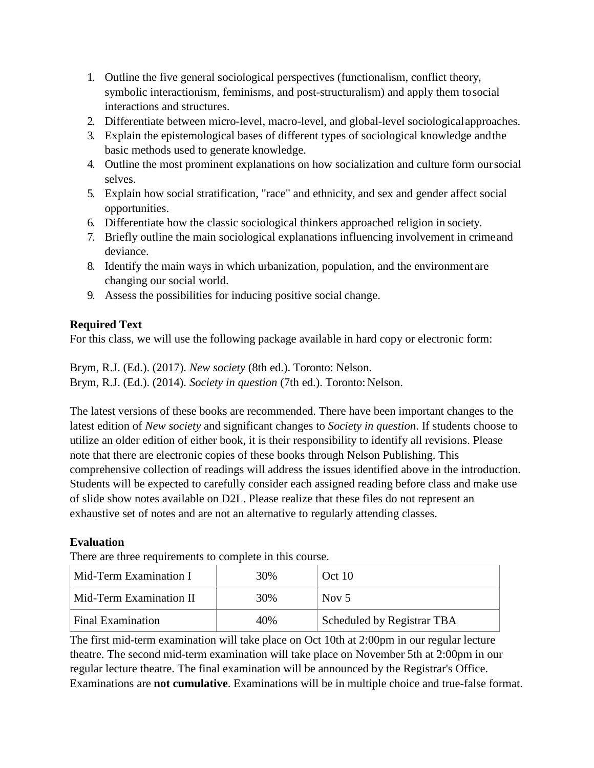- 1. Outline the five general sociological perspectives (functionalism, conflict theory, symbolic interactionism, feminisms, and post-structuralism) and apply them tosocial interactions and structures.
- 2. Differentiate between micro-level, macro-level, and global-level sociologicalapproaches.
- 3. Explain the epistemological bases of different types of sociological knowledge andthe basic methods used to generate knowledge.
- 4. Outline the most prominent explanations on how socialization and culture form oursocial selves.
- 5. Explain how social stratification, "race" and ethnicity, and sex and gender affect social opportunities.
- 6. Differentiate how the classic sociological thinkers approached religion in society.
- 7. Briefly outline the main sociological explanations influencing involvement in crimeand deviance.
- 8. Identify the main ways in which urbanization, population, and the environment are changing our social world.
- 9. Assess the possibilities for inducing positive social change.

# **Required Text**

For this class, we will use the following package available in hard copy or electronic form:

Brym, R.J. (Ed.). (2017). *New society* (8th ed.). Toronto: Nelson. Brym, R.J. (Ed.). (2014). *Society in question* (7th ed.). Toronto: Nelson.

The latest versions of these books are recommended. There have been important changes to the latest edition of *New society* and significant changes to *Society in question*. If students choose to utilize an older edition of either book, it is their responsibility to identify all revisions. Please note that there are electronic copies of these books through Nelson Publishing. This comprehensive collection of readings will address the issues identified above in the introduction. Students will be expected to carefully consider each assigned reading before class and make use of slide show notes available on D2L. Please realize that these files do not represent an exhaustive set of notes and are not an alternative to regularly attending classes.

# **Evaluation**

There are three requirements to complete in this course.

| Mid-Term Examination I   | 30% | Oct 10                     |
|--------------------------|-----|----------------------------|
| Mid-Term Examination II  | 30% | Nov $5$                    |
| <b>Final Examination</b> | 40% | Scheduled by Registrar TBA |

The first mid-term examination will take place on Oct 10th at 2:00pm in our regular lecture theatre. The second mid-term examination will take place on November 5th at 2:00pm in our regular lecture theatre. The final examination will be announced by the Registrar's Office. Examinations are **not cumulative**. Examinations will be in multiple choice and true-false format.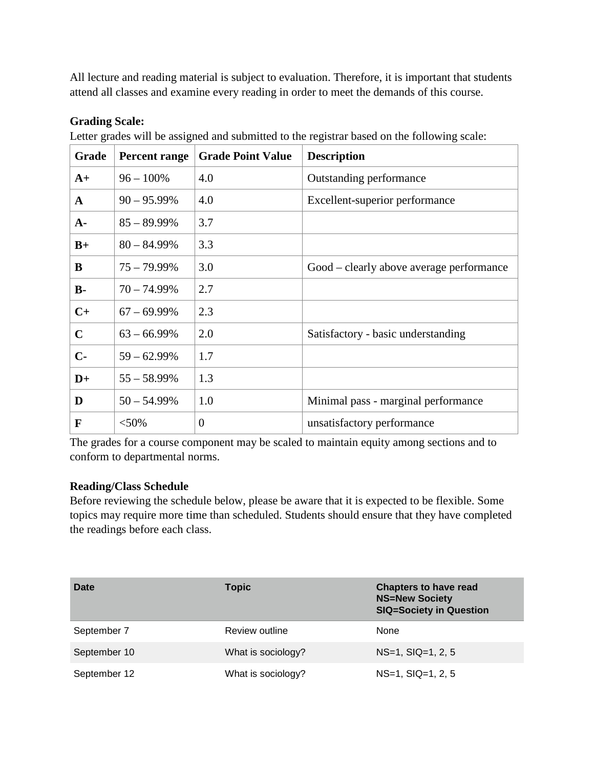All lecture and reading material is subject to evaluation. Therefore, it is important that students attend all classes and examine every reading in order to meet the demands of this course.

## **Grading Scale:**

Letter grades will be assigned and submitted to the registrar based on the following scale:

| Grade       | <b>Percent range</b> | <b>Grade Point Value</b> | <b>Description</b>                       |
|-------------|----------------------|--------------------------|------------------------------------------|
| $A+$        | $96 - 100\%$         | 4.0                      | Outstanding performance                  |
| A           | $90 - 95.99\%$       | 4.0                      | Excellent-superior performance           |
| $A -$       | $85 - 89.99\%$       | 3.7                      |                                          |
| $B+$        | $80 - 84.99\%$       | 3.3                      |                                          |
| B           | $75 - 79.99\%$       | 3.0                      | Good – clearly above average performance |
| $B -$       | $70 - 74.99\%$       | 2.7                      |                                          |
| $C+$        | $67 - 69.99\%$       | 2.3                      |                                          |
| $\mathbf C$ | $63 - 66.99\%$       | 2.0                      | Satisfactory - basic understanding       |
| $C-$        | $59 - 62.99\%$       | 1.7                      |                                          |
| $D+$        | $55 - 58.99\%$       | 1.3                      |                                          |
| D           | $50 - 54.99\%$       | 1.0                      | Minimal pass - marginal performance      |
| F           | $<$ 50%              | $\theta$                 | unsatisfactory performance               |

The grades for a course component may be scaled to maintain equity among sections and to conform to departmental norms.

# **Reading/Class Schedule**

Before reviewing the schedule below, please be aware that it is expected to be flexible. Some topics may require more time than scheduled. Students should ensure that they have completed the readings before each class.

| Date         | <b>Topic</b>       | <b>Chapters to have read</b><br><b>NS=New Society</b><br><b>SIQ=Society in Question</b> |
|--------------|--------------------|-----------------------------------------------------------------------------------------|
| September 7  | Review outline     | None                                                                                    |
| September 10 | What is sociology? | $NS=1$ , $SIQ=1$ , 2, 5                                                                 |
| September 12 | What is sociology? | $NS=1$ , $SIQ=1$ , 2, 5                                                                 |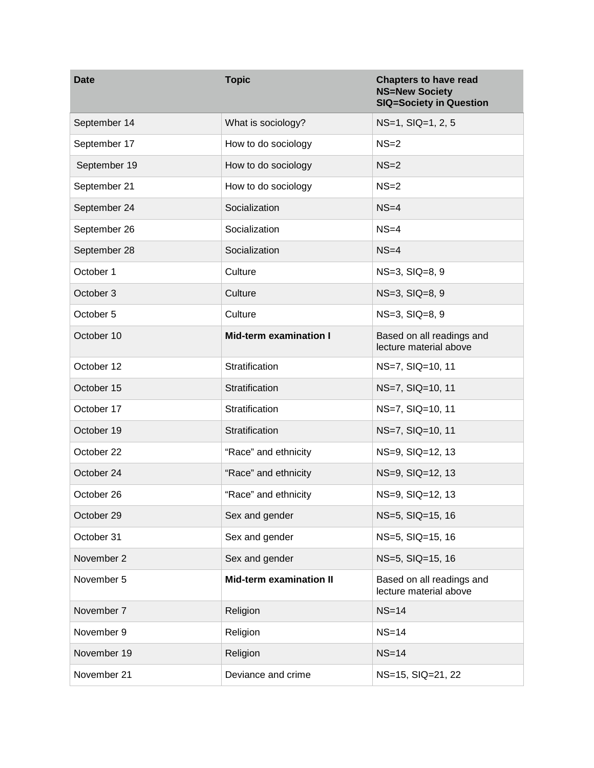| <b>Date</b>  | <b>Topic</b>                   | <b>Chapters to have read</b><br><b>NS=New Society</b><br><b>SIQ=Society in Question</b> |
|--------------|--------------------------------|-----------------------------------------------------------------------------------------|
| September 14 | What is sociology?             | NS=1, SIQ=1, 2, 5                                                                       |
| September 17 | How to do sociology            | $NS=2$                                                                                  |
| September 19 | How to do sociology            | $NS=2$                                                                                  |
| September 21 | How to do sociology            | $NS=2$                                                                                  |
| September 24 | Socialization                  | $NS=4$                                                                                  |
| September 26 | Socialization                  | $NS=4$                                                                                  |
| September 28 | Socialization                  | $NS=4$                                                                                  |
| October 1    | Culture                        | NS=3, SIQ=8, 9                                                                          |
| October 3    | Culture                        | NS=3, SIQ=8, 9                                                                          |
| October 5    | Culture                        | NS=3, SIQ=8, 9                                                                          |
| October 10   | <b>Mid-term examination I</b>  | Based on all readings and<br>lecture material above                                     |
| October 12   | Stratification                 | NS=7, SIQ=10, 11                                                                        |
| October 15   | Stratification                 | NS=7, SIQ=10, 11                                                                        |
| October 17   | Stratification                 | NS=7, SIQ=10, 11                                                                        |
| October 19   | Stratification                 | NS=7, SIQ=10, 11                                                                        |
| October 22   | "Race" and ethnicity           | NS=9, SIQ=12, 13                                                                        |
| October 24   | "Race" and ethnicity           | NS=9, SIQ=12, 13                                                                        |
| October 26   | "Race" and ethnicity           | NS=9, SIQ=12, 13                                                                        |
| October 29   | Sex and gender                 | NS=5, SIQ=15, 16                                                                        |
| October 31   | Sex and gender                 | NS=5, SIQ=15, 16                                                                        |
| November 2   | Sex and gender                 | NS=5, SIQ=15, 16                                                                        |
| November 5   | <b>Mid-term examination II</b> | Based on all readings and<br>lecture material above                                     |
| November 7   | Religion                       | $NS=14$                                                                                 |
| November 9   | Religion                       | $NS=14$                                                                                 |
| November 19  | Religion                       | $NS=14$                                                                                 |
| November 21  | Deviance and crime             | NS=15, SIQ=21, 22                                                                       |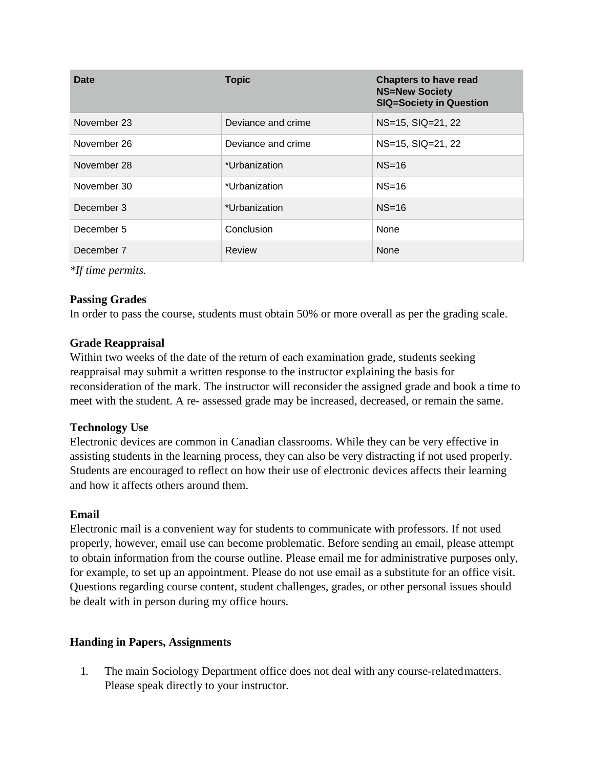| Date        | <b>Topic</b>       | <b>Chapters to have read</b><br><b>NS=New Society</b><br><b>SIQ=Society in Question</b> |
|-------------|--------------------|-----------------------------------------------------------------------------------------|
| November 23 | Deviance and crime | NS=15, SIQ=21, 22                                                                       |
| November 26 | Deviance and crime | NS=15, SIQ=21, 22                                                                       |
| November 28 | *Urbanization      | $NS=16$                                                                                 |
| November 30 | *Urbanization      | $NS=16$                                                                                 |
| December 3  | *Urbanization      | $NS=16$                                                                                 |
| December 5  | Conclusion         | <b>None</b>                                                                             |
| December 7  | Review             | None                                                                                    |

*\*If time permits.*

# **Passing Grades**

In order to pass the course, students must obtain 50% or more overall as per the grading scale.

## **Grade Reappraisal**

Within two weeks of the date of the return of each examination grade, students seeking reappraisal may submit a written response to the instructor explaining the basis for reconsideration of the mark. The instructor will reconsider the assigned grade and book a time to meet with the student. A re- assessed grade may be increased, decreased, or remain the same.

# **Technology Use**

Electronic devices are common in Canadian classrooms. While they can be very effective in assisting students in the learning process, they can also be very distracting if not used properly. Students are encouraged to reflect on how their use of electronic devices affects their learning and how it affects others around them.

#### **Email**

Electronic mail is a convenient way for students to communicate with professors. If not used properly, however, email use can become problematic. Before sending an email, please attempt to obtain information from the course outline. Please email me for administrative purposes only, for example, to set up an appointment. Please do not use email as a substitute for an office visit. Questions regarding course content, student challenges, grades, or other personal issues should be dealt with in person during my office hours.

# **Handing in Papers, Assignments**

1. The main Sociology Department office does not deal with any course-relatedmatters. Please speak directly to your instructor.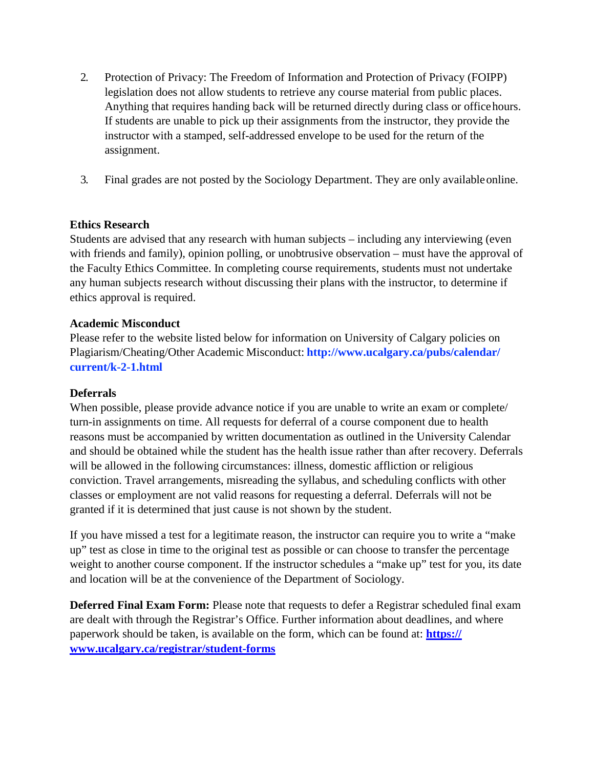- 2. Protection of Privacy: The Freedom of Information and Protection of Privacy (FOIPP) legislation does not allow students to retrieve any course material from public places. Anything that requires handing back will be returned directly during class or officehours. If students are unable to pick up their assignments from the instructor, they provide the instructor with a stamped, self-addressed envelope to be used for the return of the assignment.
- 3. Final grades are not posted by the Sociology Department. They are only availableonline.

# **Ethics Research**

Students are advised that any research with human subjects – including any interviewing (even with friends and family), opinion polling, or unobtrusive observation – must have the approval of the Faculty Ethics Committee. In completing course requirements, students must not undertake any human subjects research without discussing their plans with the instructor, to determine if ethics approval is required.

#### **Academic Misconduct**

Please refer to the website listed below for information on University of Calgary policies on Plagiarism/Cheating/Other Academic Misconduct: **<http://www.ucalgary.ca/pubs/calendar/> current/k-2-1.html**

#### **Deferrals**

When possible, please provide advance notice if you are unable to write an exam or complete/ turn-in assignments on time. All requests for deferral of a course component due to health reasons must be accompanied by written documentation as outlined in the University Calendar and should be obtained while the student has the health issue rather than after recovery. Deferrals will be allowed in the following circumstances: illness, domestic affliction or religious conviction. Travel arrangements, misreading the syllabus, and scheduling conflicts with other classes or employment are not valid reasons for requesting a deferral. Deferrals will not be granted if it is determined that just cause is not shown by the student.

If you have missed a test for a legitimate reason, the instructor can require you to write a "make up" test as close in time to the original test as possible or can choose to transfer the percentage weight to another course component. If the instructor schedules a "make up" test for you, its date and location will be at the convenience of the Department of Sociology.

**Deferred Final Exam Form:** Please note that requests to defer a Registrar scheduled final exam are dealt with through the Registrar's Office. Further information about deadlines, and where paperwork should be taken, is available on the form, which can be found at: **https:// [www.ucalgary.ca/registrar/student-forms](http://www.ucalgary.ca/registrar/student-forms)**